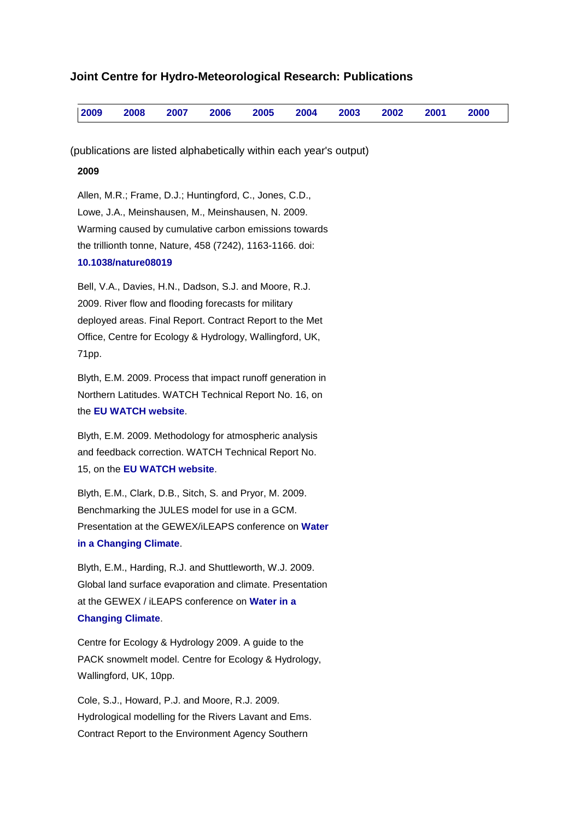# <span id="page-0-1"></span>**Joint Centre for Hydro-Meteorological Research: Publications**

| $\mid$ 2009 2008 2007 2006 2005 2004 2003 2002 2001 2000 |  |  |  |  |
|----------------------------------------------------------|--|--|--|--|
|----------------------------------------------------------|--|--|--|--|

(publications are listed alphabetically within each year's output)

# <span id="page-0-0"></span>**2009**

Allen, M.R.; Frame, D.J.; Huntingford, C., Jones, C.D., Lowe, J.A., Meinshausen, M., Meinshausen, N. 2009. Warming caused by cumulative carbon emissions towards the trillionth tonne, Nature, 458 (7242), 1163-1166. doi: **[10.1038/nature08019](http://dx.doi.org/10.1038/nature08019)**

Bell, V.A., Davies, H.N., Dadson, S.J. and Moore, R.J. 2009. River flow and flooding forecasts for military deployed areas. Final Report. Contract Report to the Met Office, Centre for Ecology & Hydrology, Wallingford, UK, 71pp.

Blyth, E.M. 2009. Process that impact runoff generation in Northern Latitudes. WATCH Technical Report No. 16, on the **[EU WATCH website](http://www.eu-watch.org/)**.

Blyth, E.M. 2009. Methodology for atmospheric analysis and feedback correction. WATCH Technical Report No. 15, on the **[EU WATCH website](http://www.eu-watch.org/)**.

Blyth, E.M., Clark, D.B., Sitch, S. and Pryor, M. 2009. Benchmarking the JULES model for use in a GCM. Presentation at the GEWEX/iLEAPS conference on **[Water](http://www.gewex.org/2009Conf/2009gewex_ileaps_conf_program.pdf)  [in a Changing Climate](http://www.gewex.org/2009Conf/2009gewex_ileaps_conf_program.pdf)**.

Blyth, E.M., Harding, R.J. and Shuttleworth, W.J. 2009. Global land surface evaporation and climate. Presentation at the GEWEX / iLEAPS conference on **[Water in a](http://www.gewex.org/2009Conf/2009gewex_ileaps_conf_program.pdf)  [Changing Climate](http://www.gewex.org/2009Conf/2009gewex_ileaps_conf_program.pdf)**.

Centre for Ecology & Hydrology 2009. A guide to the PACK snowmelt model. Centre for Ecology & Hydrology, Wallingford, UK, 10pp.

Cole, S.J., Howard, P.J. and Moore, R.J. 2009. Hydrological modelling for the Rivers Lavant and Ems. Contract Report to the Environment Agency Southern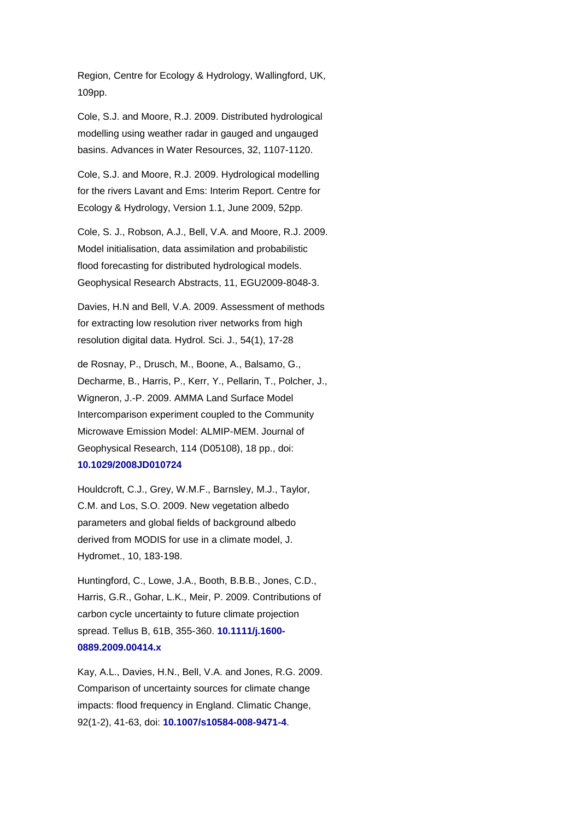Region, Centre for Ecology & Hydrology, Wallingford, UK, 109pp.

Cole, S.J. and Moore, R.J. 2009. Distributed hydrological modelling using weather radar in gauged and ungauged basins. Advances in Water Resources, 32, 1107-1120.

Cole, S.J. and Moore, R.J. 2009. Hydrological modelling for the rivers Lavant and Ems: Interim Report. Centre for Ecology & Hydrology, Version 1.1, June 2009, 52pp.

Cole, S. J., Robson, A.J., Bell, V.A. and Moore, R.J. 2009. Model initialisation, data assimilation and probabilistic flood forecasting for distributed hydrological models. Geophysical Research Abstracts, 11, EGU2009-8048-3.

Davies, H.N and Bell, V.A. 2009. Assessment of methods for extracting low resolution river networks from high resolution digital data. Hydrol. Sci. J., 54(1), 17-28

de Rosnay, P., Drusch, M., Boone, A., Balsamo, G., Decharme, B., Harris, P., Kerr, Y., Pellarin, T., Polcher, J., Wigneron, J.-P. 2009. AMMA Land Surface Model Intercomparison experiment coupled to the Community Microwave Emission Model: ALMIP-MEM. Journal of Geophysical Research, 114 (D05108), 18 pp., doi: **[10.1029/2008JD010724](http://dx.doi.org/10.1088/1748-9326/4/1/014012)**

Houldcroft, C.J., Grey, W.M.F., Barnsley, M.J., Taylor, C.M. and Los, S.O. 2009. New vegetation albedo parameters and global fields of background albedo derived from MODIS for use in a climate model, J. Hydromet., 10, 183-198.

Huntingford, C., Lowe, J.A., Booth, B.B.B., Jones, C.D., Harris, G.R., Gohar, L.K., Meir, P. 2009. Contributions of carbon cycle uncertainty to future climate projection spread. Tellus B, 61B, 355-360. **[10.1111/j.1600-](http://dx.doi.org/10.1111/j.1600-0889.2009.00414.x) [0889.2009.00414.x](http://dx.doi.org/10.1111/j.1600-0889.2009.00414.x)**

Kay, A.L., Davies, H.N., Bell, V.A. and Jones, R.G. 2009. Comparison of uncertainty sources for climate change impacts: flood frequency in England. Climatic Change, 92(1-2), 41-63, doi: **[10.1007/s10584-008-9471-4](http://dx.doi.org/10.1007/s10584-008-9471-4)**.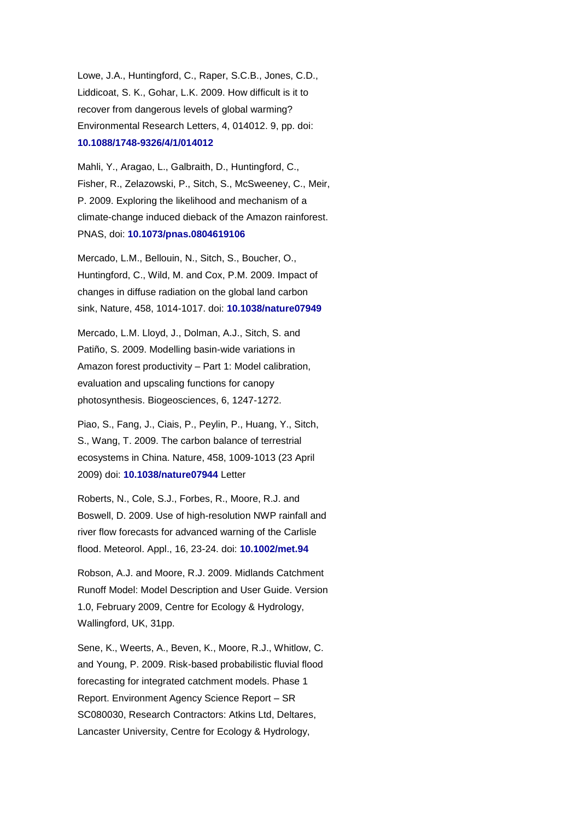Lowe, J.A., Huntingford, C., Raper, S.C.B., Jones, C.D., Liddicoat, S. K., Gohar, L.K. 2009. How difficult is it to recover from dangerous levels of global warming? Environmental Research Letters, 4, 014012. 9, pp. doi: **[10.1088/1748-9326/4/1/014012](http://dx.doi.org/10.1088/1748-9326/4/1/014012)**

Mahli, Y., Aragao, L., Galbraith, D., Huntingford, C., Fisher, R., Zelazowski, P., Sitch, S., McSweeney, C., Meir, P. 2009. Exploring the likelihood and mechanism of a climate-change induced dieback of the Amazon rainforest. PNAS, doi: **[10.1073/pnas.0804619106](http://dx.doi.org/10.1073/pnas.0804619106)**

Mercado, L.M., Bellouin, N., Sitch, S., Boucher, O., Huntingford, C., Wild, M. and Cox, P.M. 2009. Impact of changes in diffuse radiation on the global land carbon sink, Nature, 458, 1014-1017. doi: **[10.1038/nature07949](http://dx.doi.org/10.1038/nature07949)**

Mercado, L.M. Lloyd, J., Dolman, A.J., Sitch, S. and Patiño, S. 2009. Modelling basin-wide variations in Amazon forest productivity – Part 1: Model calibration, evaluation and upscaling functions for canopy photosynthesis. Biogeosciences, 6, 1247-1272.

Piao, S., Fang, J., Ciais, P., Peylin, P., Huang, Y., Sitch, S., Wang, T. 2009. The carbon balance of terrestrial ecosystems in China. Nature, 458, 1009-1013 (23 April 2009) doi: **[10.1038/nature07944](http://dx.doi.org/10.1038/nature07944)** Letter

Roberts, N., Cole, S.J., Forbes, R., Moore, R.J. and Boswell, D. 2009. Use of high-resolution NWP rainfall and river flow forecasts for advanced warning of the Carlisle flood. Meteorol. Appl., 16, 23-24. doi: **[10.1002/met.94](http://dx.doi.org/10.1002/met.94)**

Robson, A.J. and Moore, R.J. 2009. Midlands Catchment Runoff Model: Model Description and User Guide. Version 1.0, February 2009, Centre for Ecology & Hydrology, Wallingford, UK, 31pp.

Sene, K., Weerts, A., Beven, K., Moore, R.J., Whitlow, C. and Young, P. 2009. Risk-based probabilistic fluvial flood forecasting for integrated catchment models. Phase 1 Report. Environment Agency Science Report – SR SC080030, Research Contractors: Atkins Ltd, Deltares, Lancaster University, Centre for Ecology & Hydrology,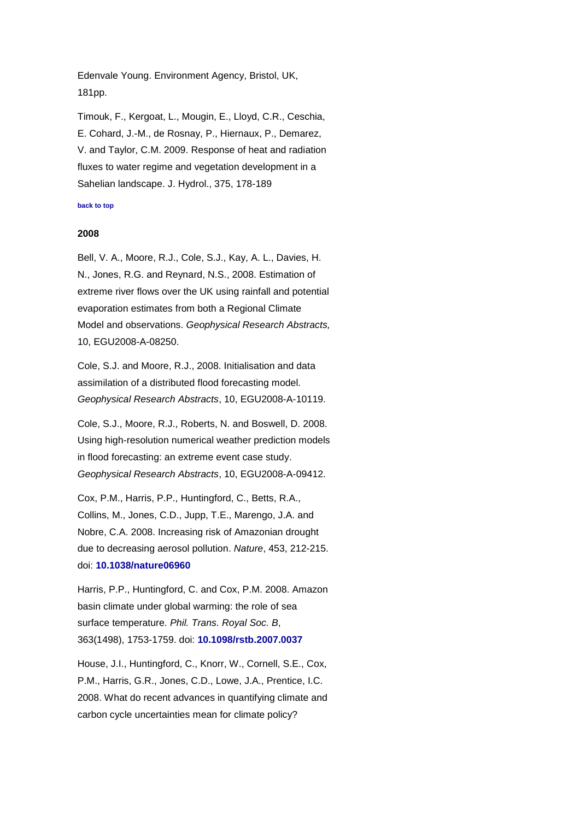Edenvale Young. Environment Agency, Bristol, UK, 181pp.

Timouk, F., Kergoat, L., Mougin, E., Lloyd, C.R., Ceschia, E. Cohard, J.-M., de Rosnay, P., Hiernaux, P., Demarez, V. and Taylor, C.M. 2009. Response of heat and radiation fluxes to water regime and vegetation development in a Sahelian landscape. J. Hydrol., 375, 178-189

### <span id="page-3-0"></span>**[back to top](#page-0-1)**

### **2008**

Bell, V. A., Moore, R.J., Cole, S.J., Kay, A. L., Davies, H. N., Jones, R.G. and Reynard, N.S., 2008. Estimation of extreme river flows over the UK using rainfall and potential evaporation estimates from both a Regional Climate Model and observations. *Geophysical Research Abstracts,* 10, EGU2008-A-08250.

Cole, S.J. and Moore, R.J., 2008. Initialisation and data assimilation of a distributed flood forecasting model. *Geophysical Research Abstracts*, 10, EGU2008-A-10119.

Cole, S.J., Moore, R.J., Roberts, N. and Boswell, D. 2008. Using high-resolution numerical weather prediction models in flood forecasting: an extreme event case study. *Geophysical Research Abstracts*, 10, EGU2008-A-09412.

Cox, P.M., Harris, P.P., Huntingford, C., Betts, R.A., Collins, M., Jones, C.D., Jupp, T.E., Marengo, J.A. and Nobre, C.A. 2008. Increasing risk of Amazonian drought due to decreasing aerosol pollution. *Nature*, 453, 212-215. doi: **[10.1038/nature06960](http://dx.doi.org/10.1038/nature06960)**

Harris, P.P., Huntingford, C. and Cox, P.M. 2008. Amazon basin climate under global warming: the role of sea surface temperature. *Phil. Trans. Royal Soc. B*, 363(1498), 1753-1759. doi: **[10.1098/rstb.2007.0037](http://dx.doi.org/10.1098/rstb.2007.0037)**

House, J.I., Huntingford, C., Knorr, W., Cornell, S.E., Cox, P.M., Harris, G.R., Jones, C.D., Lowe, J.A., Prentice, I.C. 2008. What do recent advances in quantifying climate and carbon cycle uncertainties mean for climate policy?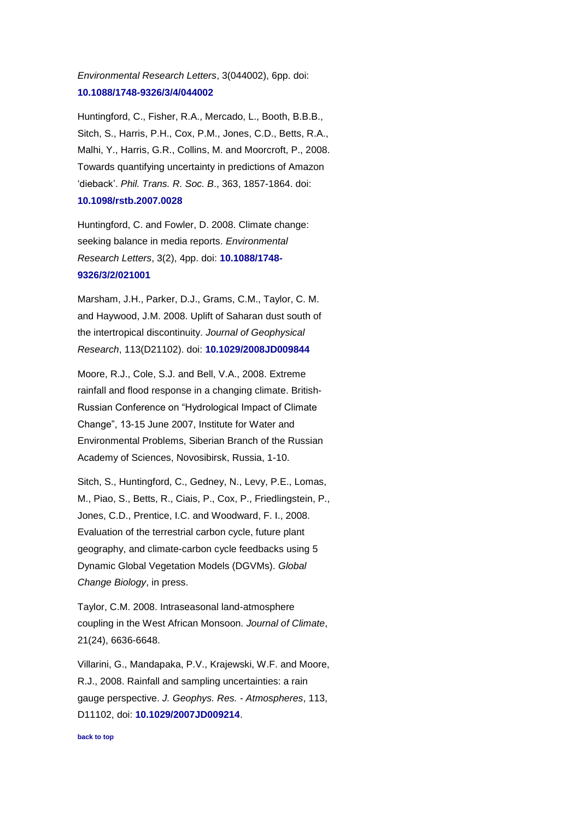# *Environmental Research Letters*, 3(044002), 6pp. doi: **[10.1088/1748-9326/3/4/044002](http://dx.doi.org/10.1088/1748-9326/3/4/044002)**

Huntingford, C., Fisher, R.A., Mercado, L., Booth, B.B.B., Sitch, S., Harris, P.H., Cox, P.M., Jones, C.D., Betts, R.A., Malhi, Y., Harris, G.R., Collins, M. and Moorcroft, P., 2008. Towards quantifying uncertainty in predictions of Amazon 'dieback'. *Phil. Trans. R. Soc. B*., 363, 1857-1864. doi: **[10.1098/rstb.2007.0028](http://dx.doi.org/10.1098/rstb.2007.0028)**

Huntingford, C. and Fowler, D. 2008. Climate change: seeking balance in media reports. *Environmental Research Letters*, 3(2), 4pp. doi: **[10.1088/1748-](http://dx.doi.org/10.1088/1748-9326/3/2/021001) [9326/3/2/021001](http://dx.doi.org/10.1088/1748-9326/3/2/021001)**

Marsham, J.H., Parker, D.J., Grams, C.M., Taylor, C. M. and Haywood, J.M. 2008. Uplift of Saharan dust south of the intertropical discontinuity. *Journal of Geophysical Research*, 113(D21102). doi: **[10.1029/2008JD009844](http://dx.doi.org/10.1029/2008JD009844)**

Moore, R.J., Cole, S.J. and Bell, V.A., 2008. Extreme rainfall and flood response in a changing climate. British-Russian Conference on "Hydrological Impact of Climate Change", 13-15 June 2007, Institute for Water and Environmental Problems, Siberian Branch of the Russian Academy of Sciences, Novosibirsk, Russia, 1-10.

Sitch, S., Huntingford, C., Gedney, N., Levy, P.E., Lomas, M., Piao, S., Betts, R., Ciais, P., Cox, P., Friedlingstein, P., Jones, C.D., Prentice, I.C. and Woodward, F. I., 2008. Evaluation of the terrestrial carbon cycle, future plant geography, and climate-carbon cycle feedbacks using 5 Dynamic Global Vegetation Models (DGVMs). *Global Change Biology*, in press.

Taylor, C.M. 2008. Intraseasonal land-atmosphere coupling in the West African Monsoon. *Journal of Climate*, 21(24), 6636-6648.

Villarini, G., Mandapaka, P.V., Krajewski, W.F. and Moore, R.J., 2008. Rainfall and sampling uncertainties: a rain gauge perspective. *J. Geophys. Res. - Atmospheres*, 113, D11102, doi: **[10.1029/2007JD009214](http://dx.doi.org/10.1029/2007JD009214)**.

<span id="page-4-0"></span>**[back to top](#page-0-1)**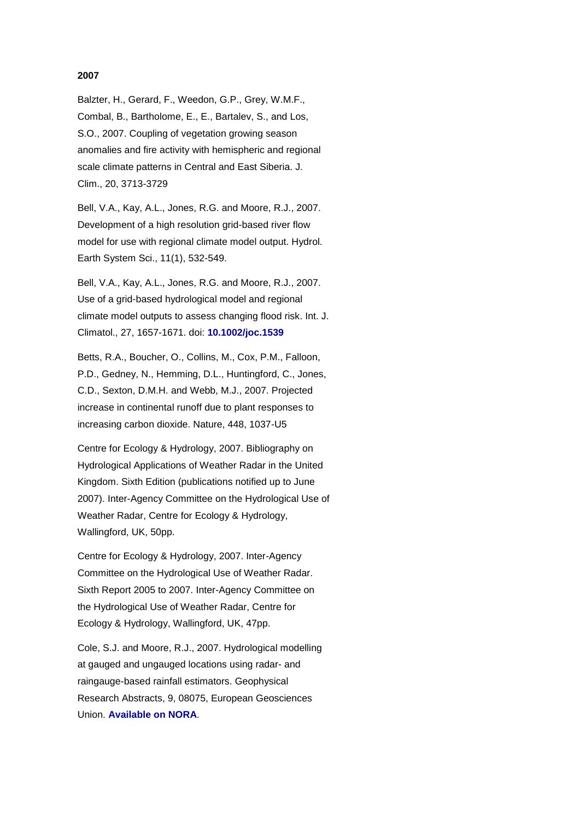## **2007**

Balzter, H., Gerard, F., Weedon, G.P., Grey, W.M.F., Combal, B., Bartholome, E., E., Bartalev, S., and Los, S.O., 2007. Coupling of vegetation growing season anomalies and fire activity with hemispheric and regional scale climate patterns in Central and East Siberia. J. Clim., 20, 3713-3729

Bell, V.A., Kay, A.L., Jones, R.G. and Moore, R.J., 2007. Development of a high resolution grid-based river flow model for use with regional climate model output. Hydrol. Earth System Sci., 11(1), 532-549.

Bell, V.A., Kay, A.L., Jones, R.G. and Moore, R.J., 2007. Use of a grid-based hydrological model and regional climate model outputs to assess changing flood risk. Int. J. Climatol., 27, 1657-1671. doi: **[10.1002/joc.1539](http://dx.doi.org/10.1002/joc.1539)**

Betts, R.A., Boucher, O., Collins, M., Cox, P.M., Falloon, P.D., Gedney, N., Hemming, D.L., Huntingford, C., Jones, C.D., Sexton, D.M.H. and Webb, M.J., 2007. Projected increase in continental runoff due to plant responses to increasing carbon dioxide. Nature, 448, 1037-U5

Centre for Ecology & Hydrology, 2007. Bibliography on Hydrological Applications of Weather Radar in the United Kingdom. Sixth Edition (publications notified up to June 2007). Inter-Agency Committee on the Hydrological Use of Weather Radar, Centre for Ecology & Hydrology, Wallingford, UK, 50pp.

Centre for Ecology & Hydrology, 2007. Inter-Agency Committee on the Hydrological Use of Weather Radar. Sixth Report 2005 to 2007. Inter-Agency Committee on the Hydrological Use of Weather Radar, Centre for Ecology & Hydrology, Wallingford, UK, 47pp.

Cole, S.J. and Moore, R.J., 2007. Hydrological modelling at gauged and ungauged locations using radar- and raingauge-based rainfall estimators. Geophysical Research Abstracts, 9, 08075, European Geosciences Union. **[Available on NORA](http://nora.nerc.ac.uk/1093/)**.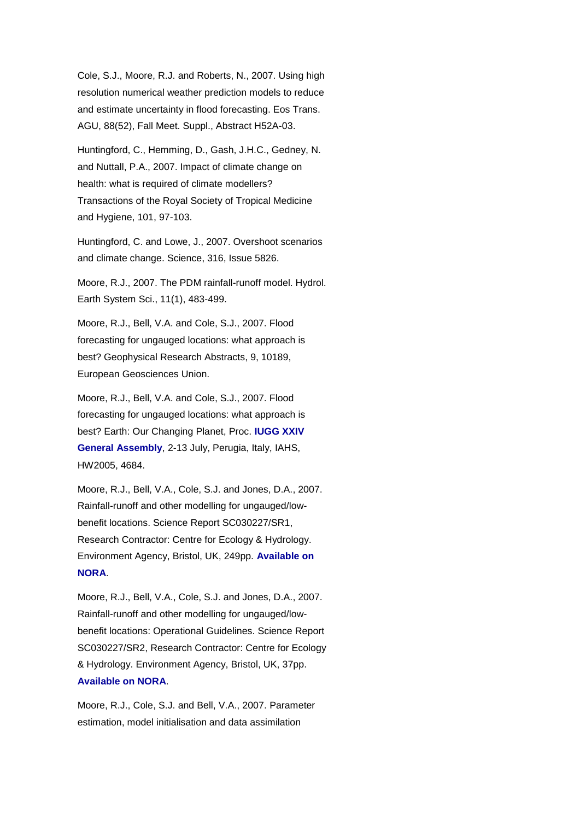Cole, S.J., Moore, R.J. and Roberts, N., 2007. Using high resolution numerical weather prediction models to reduce and estimate uncertainty in flood forecasting. Eos Trans. AGU, 88(52), Fall Meet. Suppl., Abstract H52A-03.

Huntingford, C., Hemming, D., Gash, J.H.C., Gedney, N. and Nuttall, P.A., 2007. Impact of climate change on health: what is required of climate modellers? Transactions of the Royal Society of Tropical Medicine and Hygiene, 101, 97-103.

Huntingford, C. and Lowe, J., 2007. Overshoot scenarios and climate change. Science, 316, Issue 5826.

Moore, R.J., 2007. The PDM rainfall-runoff model. Hydrol. Earth System Sci., 11(1), 483-499.

Moore, R.J., Bell, V.A. and Cole, S.J., 2007. Flood forecasting for ungauged locations: what approach is best? Geophysical Research Abstracts, 9, 10189, European Geosciences Union.

Moore, R.J., Bell, V.A. and Cole, S.J., 2007. Flood forecasting for ungauged locations: what approach is best? Earth: Our Changing Planet, Proc. **[IUGG XXIV](http://www.iugg2007perugia.it/)  [General Assembly](http://www.iugg2007perugia.it/)**, 2-13 July, Perugia, Italy, IAHS, HW2005, 4684.

Moore, R.J., Bell, V.A., Cole, S.J. and Jones, D.A., 2007. Rainfall-runoff and other modelling for ungauged/lowbenefit locations. Science Report SC030227/SR1, Research Contractor: Centre for Ecology & Hydrology. Environment Agency, Bristol, UK, 249pp. **[Available on](http://nora.nerc.ac.uk/1134/)  [NORA](http://nora.nerc.ac.uk/1134/)**.

Moore, R.J., Bell, V.A., Cole, S.J. and Jones, D.A., 2007. Rainfall-runoff and other modelling for ungauged/lowbenefit locations: Operational Guidelines. Science Report SC030227/SR2, Research Contractor: Centre for Ecology & Hydrology. Environment Agency, Bristol, UK, 37pp[.](http://nora.nerc.ac.uk/1135/) **[Available on NORA](http://nora.nerc.ac.uk/1135/)**.

Moore, R.J., Cole, S.J. and Bell, V.A., 2007. Parameter estimation, model initialisation and data assimilation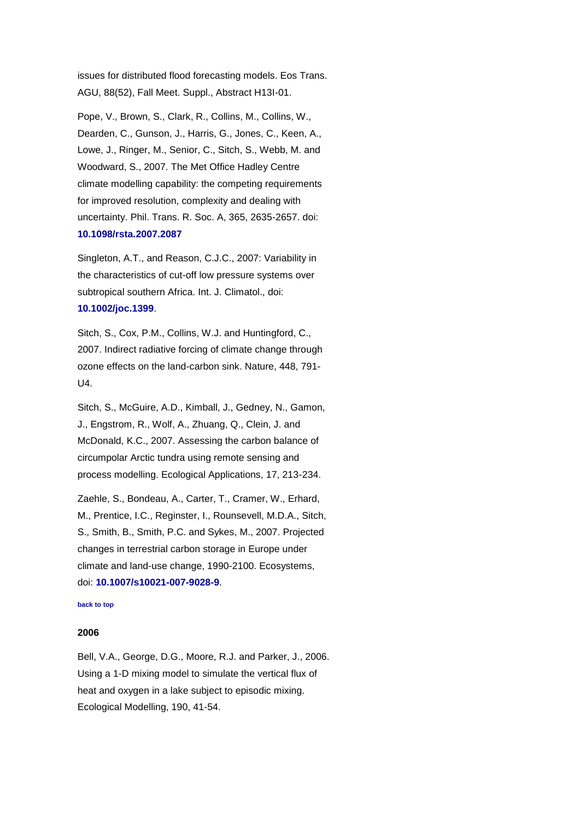issues for distributed flood forecasting models. Eos Trans. AGU, 88(52), Fall Meet. Suppl., Abstract H13I-01.

Pope, V., Brown, S., Clark, R., Collins, M., Collins, W., Dearden, C., Gunson, J., Harris, G., Jones, C., Keen, A., Lowe, J., Ringer, M., Senior, C., Sitch, S., Webb, M. and Woodward, S., 2007. The Met Office Hadley Centre climate modelling capability: the competing requirements for improved resolution, complexity and dealing with uncertainty. Phil. Trans. R. Soc. A, 365, 2635-2657. doi: **[10.1098/rsta.2007.2087](http://dx.doi.org/10.1098/rsta.2007.2087)**

Singleton, A.T., and Reason, C.J.C., 2007: Variability in the characteristics of cut-off low pressure systems over subtropical southern Africa. Int. J. Climatol., doi: **[10.1002/joc.1399](http://dx.doi.org/10.1002/joc.1399)**.

Sitch, S., Cox, P.M., Collins, W.J. and Huntingford, C., 2007. Indirect radiative forcing of climate change through ozone effects on the land-carbon sink. Nature, 448, 791- U4.

Sitch, S., McGuire, A.D., Kimball, J., Gedney, N., Gamon, J., Engstrom, R., Wolf, A., Zhuang, Q., Clein, J. and McDonald, K.C., 2007. Assessing the carbon balance of circumpolar Arctic tundra using remote sensing and process modelling. Ecological Applications, 17, 213-234.

Zaehle, S., Bondeau, A., Carter, T., Cramer, W., Erhard, M., Prentice, I.C., Reginster, I., Rounsevell, M.D.A., Sitch, S., Smith, B., Smith, P.C. and Sykes, M., 2007. Projected changes in terrestrial carbon storage in Europe under climate and land-use change, 1990-2100. Ecosystems, doi: **[10.1007/s10021-007-9028-9](http://dx.doi.org/10.1007/s10021-007-9028-9)**.

### <span id="page-7-0"></span>**[back to top](#page-0-1)**

#### **2006**

Bell, V.A., George, D.G., Moore, R.J. and Parker, J., 2006. Using a 1-D mixing model to simulate the vertical flux of heat and oxygen in a lake subject to episodic mixing. Ecological Modelling, 190, 41-54.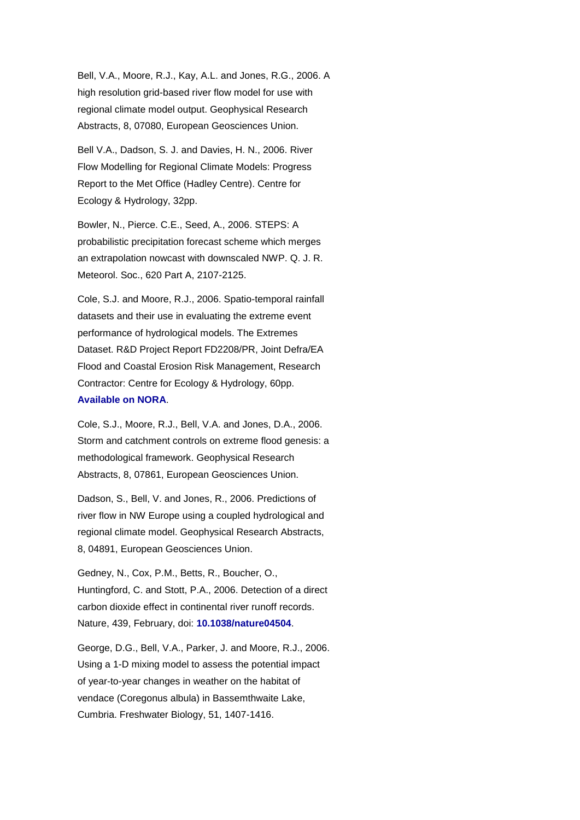Bell, V.A., Moore, R.J., Kay, A.L. and Jones, R.G., 2006. A high resolution grid-based river flow model for use with regional climate model output. Geophysical Research Abstracts, 8, 07080, European Geosciences Union.

Bell V.A., Dadson, S. J. and Davies, H. N., 2006. River Flow Modelling for Regional Climate Models: Progress Report to the Met Office (Hadley Centre). Centre for Ecology & Hydrology, 32pp.

Bowler, N., Pierce. C.E., Seed, A., 2006. STEPS: A probabilistic precipitation forecast scheme which merges an extrapolation nowcast with downscaled NWP. Q. J. R. Meteorol. Soc., 620 Part A, 2107-2125.

Cole, S.J. and Moore, R.J., 2006. Spatio-temporal rainfall datasets and their use in evaluating the extreme event performance of hydrological models. The Extremes Dataset. R&D Project Report FD2208/PR, Joint Defra/EA Flood and Coastal Erosion Risk Management, Research Contractor: Centre for Ecology & Hydrology, 60pp. **[Available on NORA](http://nora.nerc.ac.uk/2155/)**.

Cole, S.J., Moore, R.J., Bell, V.A. and Jones, D.A., 2006. Storm and catchment controls on extreme flood genesis: a methodological framework. Geophysical Research Abstracts, 8, 07861, European Geosciences Union.

Dadson, S., Bell, V. and Jones, R., 2006. Predictions of river flow in NW Europe using a coupled hydrological and regional climate model. Geophysical Research Abstracts, 8, 04891, European Geosciences Union.

Gedney, N., Cox, P.M., Betts, R., Boucher, O., Huntingford, C. and Stott, P.A., 2006. Detection of a direct carbon dioxide effect in continental river runoff records. Nature, 439, February, doi: **[10.1038/nature04504](http://dx.doi.org/10.1038/nature04504)**.

George, D.G., Bell, V.A., Parker, J. and Moore, R.J., 2006. Using a 1-D mixing model to assess the potential impact of year-to-year changes in weather on the habitat of vendace (Coregonus albula) in Bassemthwaite Lake, Cumbria. Freshwater Biology, 51, 1407-1416.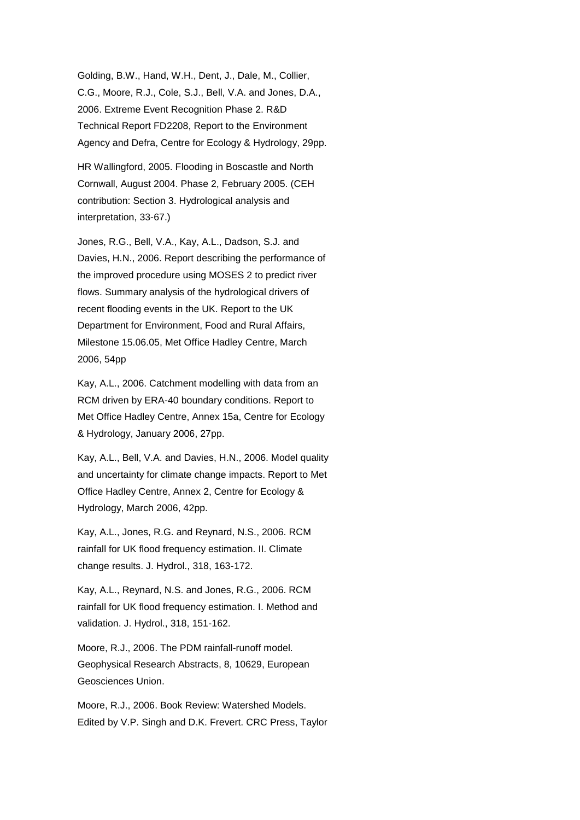Golding, B.W., Hand, W.H., Dent, J., Dale, M., Collier, C.G., Moore, R.J., Cole, S.J., Bell, V.A. and Jones, D.A., 2006. Extreme Event Recognition Phase 2. R&D Technical Report FD2208, Report to the Environment Agency and Defra, Centre for Ecology & Hydrology, 29pp.

HR Wallingford, 2005. Flooding in Boscastle and North Cornwall, August 2004. Phase 2, February 2005. (CEH contribution: Section 3. Hydrological analysis and interpretation, 33-67.)

Jones, R.G., Bell, V.A., Kay, A.L., Dadson, S.J. and Davies, H.N., 2006. Report describing the performance of the improved procedure using MOSES 2 to predict river flows. Summary analysis of the hydrological drivers of recent flooding events in the UK. Report to the UK Department for Environment, Food and Rural Affairs, Milestone 15.06.05, Met Office Hadley Centre, March 2006, 54pp

Kay, A.L., 2006. Catchment modelling with data from an RCM driven by ERA-40 boundary conditions. Report to Met Office Hadley Centre, Annex 15a, Centre for Ecology & Hydrology, January 2006, 27pp.

Kay, A.L., Bell, V.A. and Davies, H.N., 2006. Model quality and uncertainty for climate change impacts. Report to Met Office Hadley Centre, Annex 2, Centre for Ecology & Hydrology, March 2006, 42pp.

Kay, A.L., Jones, R.G. and Reynard, N.S., 2006. RCM rainfall for UK flood frequency estimation. II. Climate change results. J. Hydrol., 318, 163-172.

Kay, A.L., Reynard, N.S. and Jones, R.G., 2006. RCM rainfall for UK flood frequency estimation. I. Method and validation. J. Hydrol., 318, 151-162.

Moore, R.J., 2006. The PDM rainfall-runoff model. Geophysical Research Abstracts, 8, 10629, European Geosciences Union.

Moore, R.J., 2006. Book Review: Watershed Models. Edited by V.P. Singh and D.K. Frevert. CRC Press, Taylor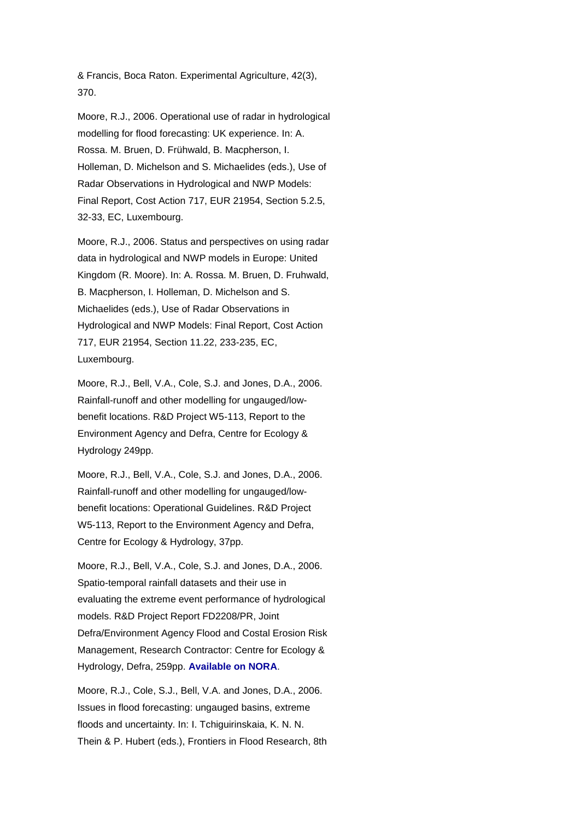& Francis, Boca Raton. Experimental Agriculture, 42(3), 370.

Moore, R.J., 2006. Operational use of radar in hydrological modelling for flood forecasting: UK experience. In: A. Rossa. M. Bruen, D. Frühwald, B. Macpherson, I. Holleman, D. Michelson and S. Michaelides (eds.), Use of Radar Observations in Hydrological and NWP Models: Final Report, Cost Action 717, EUR 21954, Section 5.2.5, 32-33, EC, Luxembourg.

Moore, R.J., 2006. Status and perspectives on using radar data in hydrological and NWP models in Europe: United Kingdom (R. Moore). In: A. Rossa. M. Bruen, D. Fruhwald, B. Macpherson, I. Holleman, D. Michelson and S. Michaelides (eds.), Use of Radar Observations in Hydrological and NWP Models: Final Report, Cost Action 717, EUR 21954, Section 11.22, 233-235, EC, Luxembourg.

Moore, R.J., Bell, V.A., Cole, S.J. and Jones, D.A., 2006. Rainfall-runoff and other modelling for ungauged/lowbenefit locations. R&D Project W5-113, Report to the Environment Agency and Defra, Centre for Ecology & Hydrology 249pp.

Moore, R.J., Bell, V.A., Cole, S.J. and Jones, D.A., 2006. Rainfall-runoff and other modelling for ungauged/lowbenefit locations: Operational Guidelines. R&D Project W5-113, Report to the Environment Agency and Defra, Centre for Ecology & Hydrology, 37pp.

Moore, R.J., Bell, V.A., Cole, S.J. and Jones, D.A., 2006. Spatio-temporal rainfall datasets and their use in evaluating the extreme event performance of hydrological models. R&D Project Report FD2208/PR, Joint Defra/Environment Agency Flood and Costal Erosion Risk Management, Research Contractor: Centre for Ecology & Hydrology, Defra, 259pp. **[Available on NORA](http://nora.nerc.ac.uk/2187/)**.

Moore, R.J., Cole, S.J., Bell, V.A. and Jones, D.A., 2006. Issues in flood forecasting: ungauged basins, extreme floods and uncertainty. In: I. Tchiguirinskaia, K. N. N. Thein & P. Hubert (eds.), Frontiers in Flood Research, 8th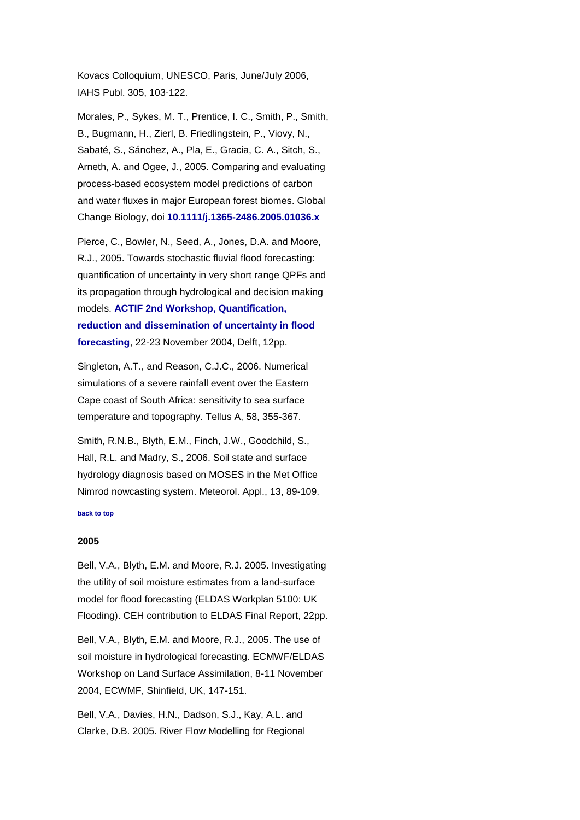Kovacs Colloquium, UNESCO, Paris, June/July 2006, IAHS Publ. 305, 103-122.

Morales, P., Sykes, M. T., Prentice, I. C., Smith, P., Smith, B., Bugmann, H., Zierl, B. Friedlingstein, P., Viovy, N., Sabaté, S., Sánchez, A., Pla, E., Gracia, C. A., Sitch, S., Arneth, A. and Ogee, J., 2005. Comparing and evaluating process-based ecosystem model predictions of carbon and water fluxes in major European forest biomes. Global Change Biology, doi **[10.1111/j.1365-2486.2005.01036.x](http://dx.doi.org/10.1111/j.1365-2486.2005.01036.x)**

Pierce, C., Bowler, N., Seed, A., Jones, D.A. and Moore, R.J., 2005. Towards stochastic fluvial flood forecasting: quantification of uncertainty in very short range QPFs and its propagation through hydrological and decision making models. **[ACTIF 2nd Workshop, Quantification,](http://www.actif-ec.net/Workshop2/papers/ACTIF_S1_07.pdf)  [reduction and dissemination of uncertainty in flood](http://www.actif-ec.net/Workshop2/papers/ACTIF_S1_07.pdf)  [forecasting](http://www.actif-ec.net/Workshop2/papers/ACTIF_S1_07.pdf)**, 22-23 November 2004, Delft, 12pp.

Singleton, A.T., and Reason, C.J.C., 2006. Numerical simulations of a severe rainfall event over the Eastern Cape coast of South Africa: sensitivity to sea surface temperature and topography. Tellus A, 58, 355-367.

Smith, R.N.B., Blyth, E.M., Finch, J.W., Goodchild, S., Hall, R.L. and Madry, S., 2006. Soil state and surface hydrology diagnosis based on MOSES in the Met Office Nimrod nowcasting system. Meteorol. Appl., 13, 89-109.

## <span id="page-11-0"></span>**[back to top](#page-0-1)**

### **2005**

Bell, V.A., Blyth, E.M. and Moore, R.J. 2005. Investigating the utility of soil moisture estimates from a land-surface model for flood forecasting (ELDAS Workplan 5100: UK Flooding). CEH contribution to ELDAS Final Report, 22pp.

Bell, V.A., Blyth, E.M. and Moore, R.J., 2005. The use of soil moisture in hydrological forecasting. ECMWF/ELDAS Workshop on Land Surface Assimilation, 8-11 November 2004, ECWMF, Shinfield, UK, 147-151.

Bell, V.A., Davies, H.N., Dadson, S.J., Kay, A.L. and Clarke, D.B. 2005. River Flow Modelling for Regional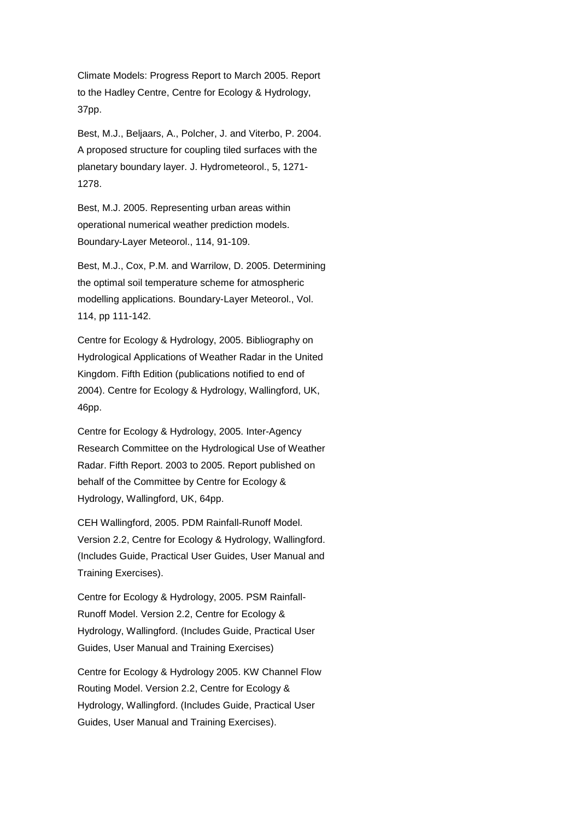Climate Models: Progress Report to March 2005. Report to the Hadley Centre, Centre for Ecology & Hydrology, 37pp.

Best, M.J., Beljaars, A., Polcher, J. and Viterbo, P. 2004. A proposed structure for coupling tiled surfaces with the planetary boundary layer. J. Hydrometeorol., 5, 1271- 1278.

Best, M.J. 2005. Representing urban areas within operational numerical weather prediction models. Boundary-Layer Meteorol., 114, 91-109.

Best, M.J., Cox, P.M. and Warrilow, D. 2005. Determining the optimal soil temperature scheme for atmospheric modelling applications. Boundary-Layer Meteorol., Vol. 114, pp 111-142.

Centre for Ecology & Hydrology, 2005. Bibliography on Hydrological Applications of Weather Radar in the United Kingdom. Fifth Edition (publications notified to end of 2004). Centre for Ecology & Hydrology, Wallingford, UK, 46pp.

Centre for Ecology & Hydrology, 2005. Inter-Agency Research Committee on the Hydrological Use of Weather Radar. Fifth Report. 2003 to 2005. Report published on behalf of the Committee by Centre for Ecology & Hydrology, Wallingford, UK, 64pp.

CEH Wallingford, 2005. PDM Rainfall-Runoff Model. Version 2.2, Centre for Ecology & Hydrology, Wallingford. (Includes Guide, Practical User Guides, User Manual and Training Exercises).

Centre for Ecology & Hydrology, 2005. PSM Rainfall-Runoff Model. Version 2.2, Centre for Ecology & Hydrology, Wallingford. (Includes Guide, Practical User Guides, User Manual and Training Exercises)

Centre for Ecology & Hydrology 2005. KW Channel Flow Routing Model. Version 2.2, Centre for Ecology & Hydrology, Wallingford. (Includes Guide, Practical User Guides, User Manual and Training Exercises).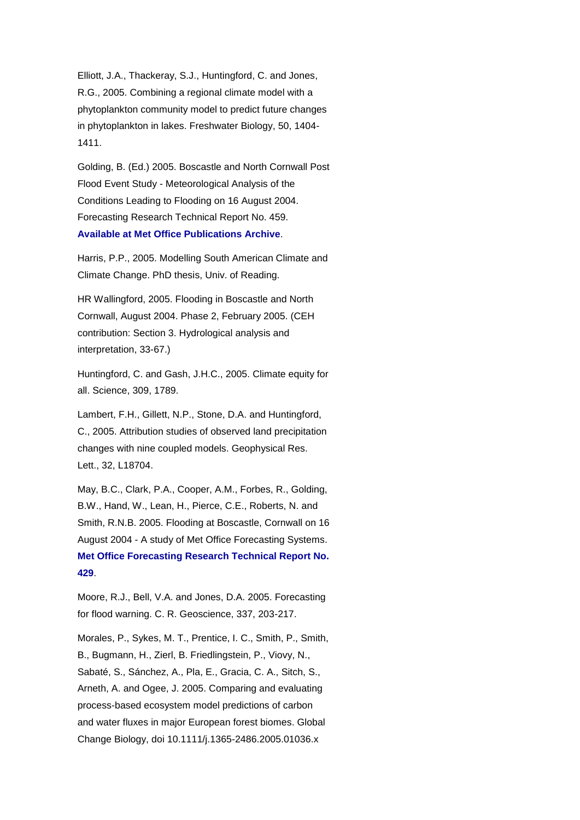Elliott, J.A., Thackeray, S.J., Huntingford, C. and Jones, R.G., 2005. Combining a regional climate model with a phytoplankton community model to predict future changes in phytoplankton in lakes. Freshwater Biology, 50, 1404- 1411.

Golding, B. (Ed.) 2005. Boscastle and North Cornwall Post Flood Event Study - Meteorological Analysis of the Conditions Leading to Flooding on 16 August 2004. Forecasting Research Technical Report No. 459. **[Available at Met Office Publications Archive](http://www.metoffice.gov.uk/archive/forecasting-research-technical-report-459)**.

Harris, P.P., 2005. Modelling South American Climate and Climate Change. PhD thesis, Univ. of Reading.

HR Wallingford, 2005. Flooding in Boscastle and North Cornwall, August 2004. Phase 2, February 2005. (CEH contribution: Section 3. Hydrological analysis and interpretation, 33-67.)

Huntingford, C. and Gash, J.H.C., 2005. Climate equity for all. Science, 309, 1789.

Lambert, F.H., Gillett, N.P., Stone, D.A. and Huntingford, C., 2005. Attribution studies of observed land precipitation changes with nine coupled models. Geophysical Res. Lett., 32, L18704.

May, B.C., Clark, P.A., Cooper, A.M., Forbes, R., Golding, B.W., Hand, W., Lean, H., Pierce, C.E., Roberts, N. and Smith, R.N.B. 2005. Flooding at Boscastle, Cornwall on 16 August 2004 - A study of Met Office Forecasting Systems. **[Met Office Forecasting Research Technical Report No.](http://www.metoffice.gov.uk/archive/forecasting-research-technical-report-429)  [429](http://www.metoffice.gov.uk/archive/forecasting-research-technical-report-429)**.

Moore, R.J., Bell, V.A. and Jones, D.A. 2005. Forecasting for flood warning. C. R. Geoscience, 337, 203-217.

Morales, P., Sykes, M. T., Prentice, I. C., Smith, P., Smith, B., Bugmann, H., Zierl, B. Friedlingstein, P., Viovy, N., Sabaté, S., Sánchez, A., Pla, E., Gracia, C. A., Sitch, S., Arneth, A. and Ogee, J. 2005. Comparing and evaluating process-based ecosystem model predictions of carbon and water fluxes in major European forest biomes. Global Change Biology, doi 10.1111/j.1365-2486.2005.01036.x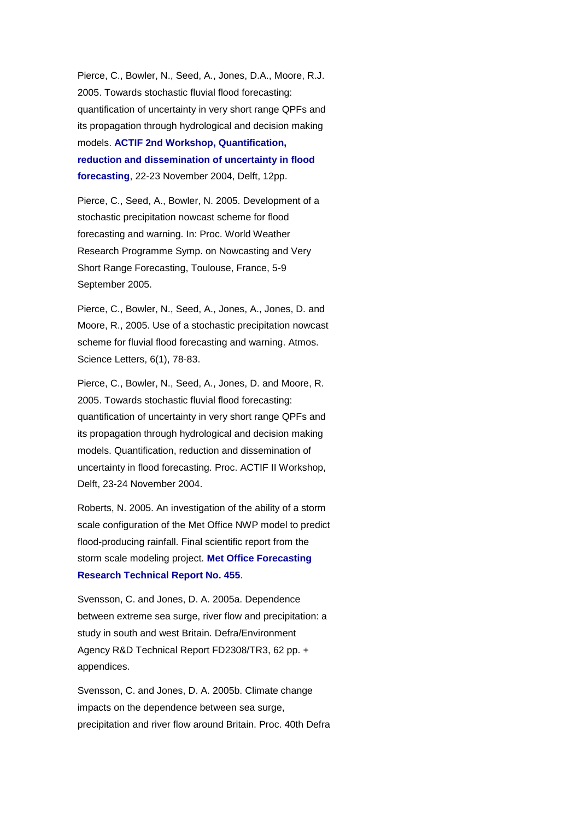Pierce, C., Bowler, N., Seed, A., Jones, D.A., Moore, R.J. 2005. Towards stochastic fluvial flood forecasting: quantification of uncertainty in very short range QPFs and its propagation through hydrological and decision making models. **[ACTIF 2nd Workshop, Quantification,](http://www.actif-ec.net/Workshop2/papers/ACTIF_S1_07.pdf)  [reduction and dissemination of uncertainty in flood](http://www.actif-ec.net/Workshop2/papers/ACTIF_S1_07.pdf)  [forecasting](http://www.actif-ec.net/Workshop2/papers/ACTIF_S1_07.pdf)**, 22-23 November 2004, Delft, 12pp.

Pierce, C., Seed, A., Bowler, N. 2005. Development of a stochastic precipitation nowcast scheme for flood forecasting and warning. In: Proc. World Weather Research Programme Symp. on Nowcasting and Very Short Range Forecasting, Toulouse, France, 5-9 September 2005.

Pierce, C., Bowler, N., Seed, A., Jones, A., Jones, D. and Moore, R., 2005. Use of a stochastic precipitation nowcast scheme for fluvial flood forecasting and warning. Atmos. Science Letters, 6(1), 78-83.

Pierce, C., Bowler, N., Seed, A., Jones, D. and Moore, R. 2005. Towards stochastic fluvial flood forecasting: quantification of uncertainty in very short range QPFs and its propagation through hydrological and decision making models. Quantification, reduction and dissemination of uncertainty in flood forecasting. Proc. ACTIF II Workshop, Delft, 23-24 November 2004.

Roberts, N. 2005. An investigation of the ability of a storm scale configuration of the Met Office NWP model to predict flood-producing rainfall. Final scientific report from the storm scale modeling project. **[Met Office Forecasting](http://www.metoffice.gov.uk/archive/forecasting-research-technical-report-455)  [Research Technical Report No. 455](http://www.metoffice.gov.uk/archive/forecasting-research-technical-report-455)**.

Svensson, C. and Jones, D. A. 2005a. Dependence between extreme sea surge, river flow and precipitation: a study in south and west Britain. Defra/Environment Agency R&D Technical Report FD2308/TR3, 62 pp. + appendices.

Svensson, C. and Jones, D. A. 2005b. Climate change impacts on the dependence between sea surge, precipitation and river flow around Britain. Proc. 40th Defra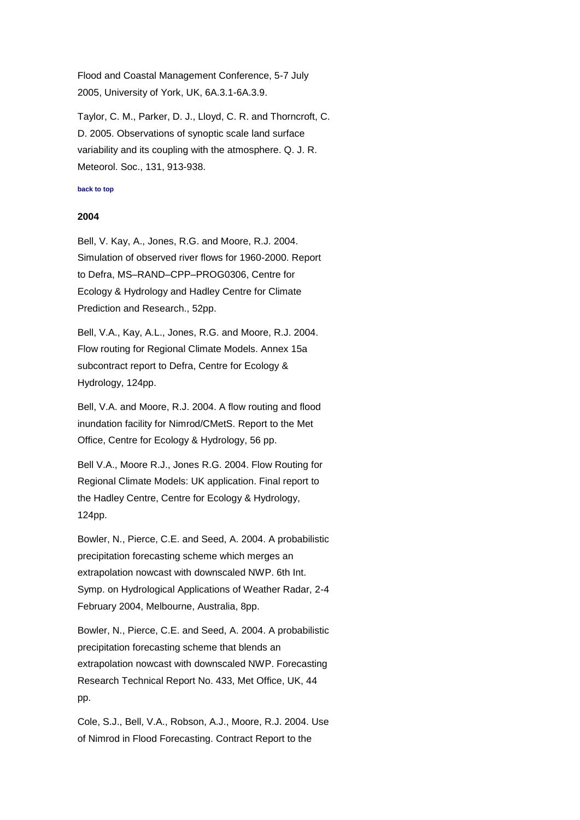Flood and Coastal Management Conference, 5-7 July 2005, University of York, UK, 6A.3.1-6A.3.9.

Taylor, C. M., Parker, D. J., Lloyd, C. R. and Thorncroft, C. D. 2005. Observations of synoptic scale land surface variability and its coupling with the atmosphere. Q. J. R. Meteorol. Soc., 131, 913-938.

## <span id="page-15-0"></span>**[back to top](#page-0-1)**

#### **2004**

Bell, V. Kay, A., Jones, R.G. and Moore, R.J. 2004. Simulation of observed river flows for 1960-2000. Report to Defra, MS–RAND–CPP–PROG0306, Centre for Ecology & Hydrology and Hadley Centre for Climate Prediction and Research., 52pp.

Bell, V.A., Kay, A.L., Jones, R.G. and Moore, R.J. 2004. Flow routing for Regional Climate Models. Annex 15a subcontract report to Defra, Centre for Ecology & Hydrology, 124pp.

Bell, V.A. and Moore, R.J. 2004. A flow routing and flood inundation facility for Nimrod/CMetS. Report to the Met Office, Centre for Ecology & Hydrology, 56 pp.

Bell V.A., Moore R.J., Jones R.G. 2004. Flow Routing for Regional Climate Models: UK application. Final report to the Hadley Centre, Centre for Ecology & Hydrology, 124pp.

Bowler, N., Pierce, C.E. and Seed, A. 2004. A probabilistic precipitation forecasting scheme which merges an extrapolation nowcast with downscaled NWP. 6th Int. Symp. on Hydrological Applications of Weather Radar, 2-4 February 2004, Melbourne, Australia, 8pp.

Bowler, N., Pierce, C.E. and Seed, A. 2004. A probabilistic precipitation forecasting scheme that blends an extrapolation nowcast with downscaled NWP. Forecasting Research Technical Report No. 433, Met Office, UK, 44 pp.

Cole, S.J., Bell, V.A., Robson, A.J., Moore, R.J. 2004. Use of Nimrod in Flood Forecasting. Contract Report to the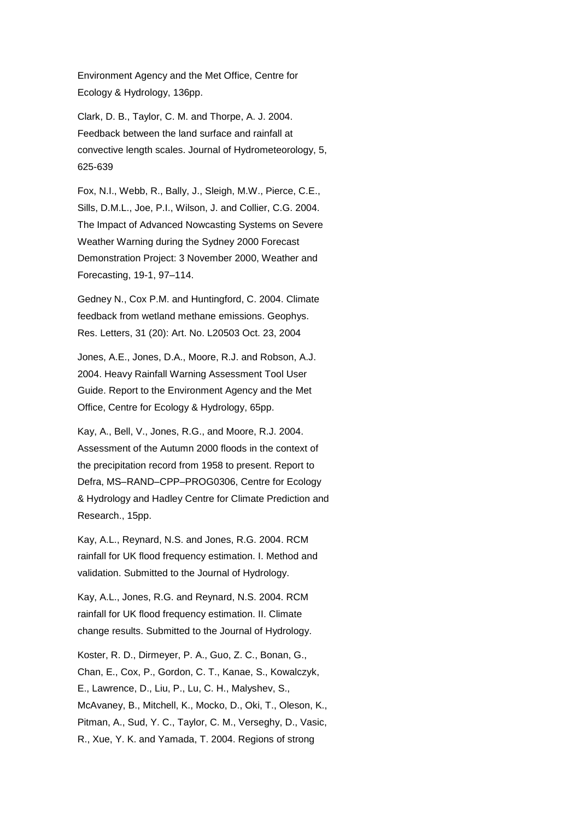Environment Agency and the Met Office, Centre for Ecology & Hydrology, 136pp.

Clark, D. B., Taylor, C. M. and Thorpe, A. J. 2004. Feedback between the land surface and rainfall at convective length scales. Journal of Hydrometeorology, 5, 625-639

Fox, N.I., Webb, R., Bally, J., Sleigh, M.W., Pierce, C.E., Sills, D.M.L., Joe, P.I., Wilson, J. and Collier, C.G. 2004. The Impact of Advanced Nowcasting Systems on Severe Weather Warning during the Sydney 2000 Forecast Demonstration Project: 3 November 2000, Weather and Forecasting, 19-1, 97–114.

Gedney N., Cox P.M. and Huntingford, C. 2004. Climate feedback from wetland methane emissions. Geophys. Res. Letters, 31 (20): Art. No. L20503 Oct. 23, 2004

Jones, A.E., Jones, D.A., Moore, R.J. and Robson, A.J. 2004. Heavy Rainfall Warning Assessment Tool User Guide. Report to the Environment Agency and the Met Office, Centre for Ecology & Hydrology, 65pp.

Kay, A., Bell, V., Jones, R.G., and Moore, R.J. 2004. Assessment of the Autumn 2000 floods in the context of the precipitation record from 1958 to present. Report to Defra, MS–RAND–CPP–PROG0306, Centre for Ecology & Hydrology and Hadley Centre for Climate Prediction and Research., 15pp.

Kay, A.L., Reynard, N.S. and Jones, R.G. 2004. RCM rainfall for UK flood frequency estimation. I. Method and validation. Submitted to the Journal of Hydrology.

Kay, A.L., Jones, R.G. and Reynard, N.S. 2004. RCM rainfall for UK flood frequency estimation. II. Climate change results. Submitted to the Journal of Hydrology.

Koster, R. D., Dirmeyer, P. A., Guo, Z. C., Bonan, G., Chan, E., Cox, P., Gordon, C. T., Kanae, S., Kowalczyk, E., Lawrence, D., Liu, P., Lu, C. H., Malyshev, S., McAvaney, B., Mitchell, K., Mocko, D., Oki, T., Oleson, K., Pitman, A., Sud, Y. C., Taylor, C. M., Verseghy, D., Vasic, R., Xue, Y. K. and Yamada, T. 2004. Regions of strong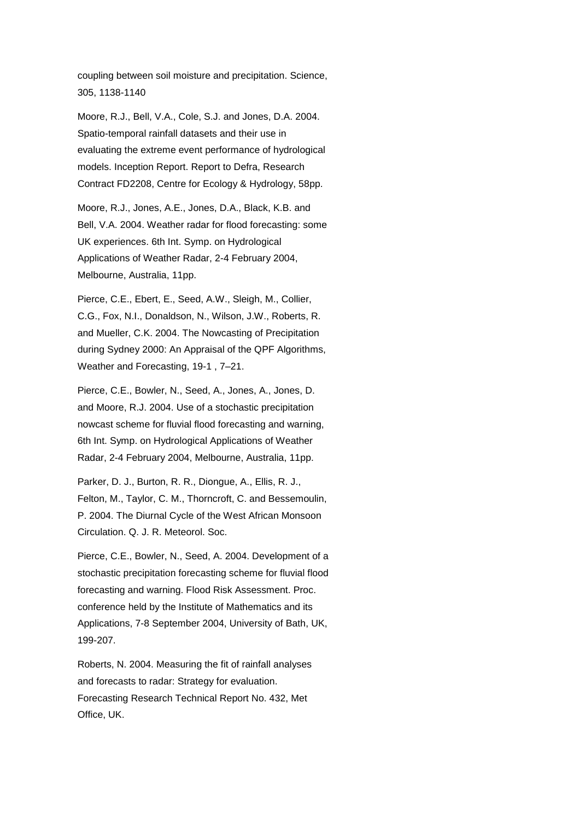coupling between soil moisture and precipitation. Science, 305, 1138-1140

Moore, R.J., Bell, V.A., Cole, S.J. and Jones, D.A. 2004. Spatio-temporal rainfall datasets and their use in evaluating the extreme event performance of hydrological models. Inception Report. Report to Defra, Research Contract FD2208, Centre for Ecology & Hydrology, 58pp.

Moore, R.J., Jones, A.E., Jones, D.A., Black, K.B. and Bell, V.A. 2004. Weather radar for flood forecasting: some UK experiences. 6th Int. Symp. on Hydrological Applications of Weather Radar, 2-4 February 2004, Melbourne, Australia, 11pp.

Pierce, C.E., Ebert, E., Seed, A.W., Sleigh, M., Collier, C.G., Fox, N.I., Donaldson, N., Wilson, J.W., Roberts, R. and Mueller, C.K. 2004. The Nowcasting of Precipitation during Sydney 2000: An Appraisal of the QPF Algorithms, Weather and Forecasting, 19-1 , 7–21.

Pierce, C.E., Bowler, N., Seed, A., Jones, A., Jones, D. and Moore, R.J. 2004. Use of a stochastic precipitation nowcast scheme for fluvial flood forecasting and warning, 6th Int. Symp. on Hydrological Applications of Weather Radar, 2-4 February 2004, Melbourne, Australia, 11pp.

Parker, D. J., Burton, R. R., Diongue, A., Ellis, R. J., Felton, M., Taylor, C. M., Thorncroft, C. and Bessemoulin, P. 2004. The Diurnal Cycle of the West African Monsoon Circulation. Q. J. R. Meteorol. Soc.

Pierce, C.E., Bowler, N., Seed, A. 2004. Development of a stochastic precipitation forecasting scheme for fluvial flood forecasting and warning. Flood Risk Assessment. Proc. conference held by the Institute of Mathematics and its Applications, 7-8 September 2004, University of Bath, UK, 199-207.

Roberts, N. 2004. Measuring the fit of rainfall analyses and forecasts to radar: Strategy for evaluation. Forecasting Research Technical Report No. 432, Met Office, UK.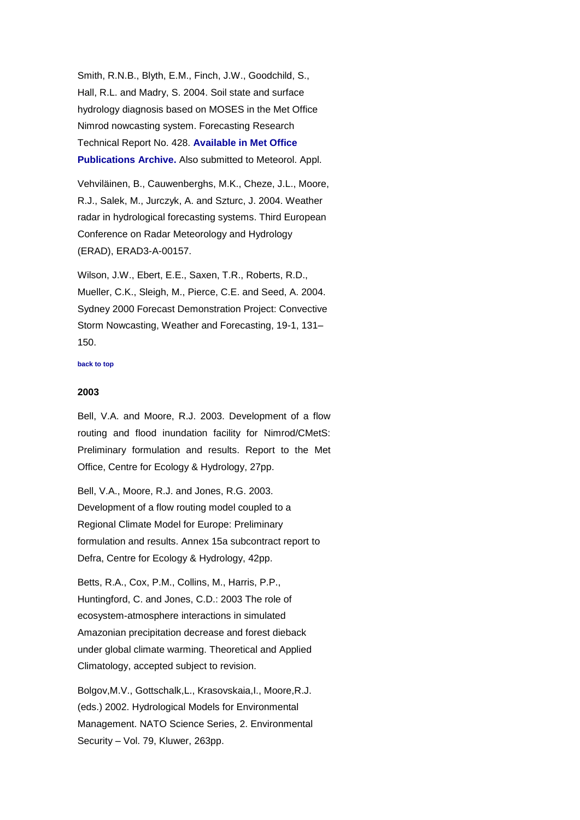Smith, R.N.B., Blyth, E.M., Finch, J.W., Goodchild, S., Hall, R.L. and Madry, S. 2004. Soil state and surface hydrology diagnosis based on MOSES in the Met Office Nimrod nowcasting system. Forecasting Research Technical Report No. 428. **[Available in Met Office](http://www.metoffice.gov.uk/archive/forecasting-research-technical-report-428)  [Publications Archive.](http://www.metoffice.gov.uk/archive/forecasting-research-technical-report-428)** Also submitted to Meteorol. Appl.

Vehviläinen, B., Cauwenberghs, M.K., Cheze, J.L., Moore, R.J., Salek, M., Jurczyk, A. and Szturc, J. 2004. Weather radar in hydrological forecasting systems. Third European Conference on Radar Meteorology and Hydrology (ERAD), ERAD3-A-00157.

Wilson, J.W., Ebert, E.E., Saxen, T.R., Roberts, R.D., Mueller, C.K., Sleigh, M., Pierce, C.E. and Seed, A. 2004. Sydney 2000 Forecast Demonstration Project: Convective Storm Nowcasting, Weather and Forecasting, 19-1, 131– 150.

#### <span id="page-18-0"></span>**[back to top](#page-0-1)**

## **2003**

Bell, V.A. and Moore, R.J. 2003. Development of a flow routing and flood inundation facility for Nimrod/CMetS: Preliminary formulation and results. Report to the Met Office, Centre for Ecology & Hydrology, 27pp.

Bell, V.A., Moore, R.J. and Jones, R.G. 2003. Development of a flow routing model coupled to a Regional Climate Model for Europe: Preliminary formulation and results. Annex 15a subcontract report to Defra, Centre for Ecology & Hydrology, 42pp.

Betts, R.A., Cox, P.M., Collins, M., Harris, P.P., Huntingford, C. and Jones, C.D.: 2003 The role of ecosystem-atmosphere interactions in simulated Amazonian precipitation decrease and forest dieback under global climate warming. Theoretical and Applied Climatology, accepted subject to revision.

Bolgov,M.V., Gottschalk,L., Krasovskaia,I., Moore,R.J. (eds.) 2002. Hydrological Models for Environmental Management. NATO Science Series, 2. Environmental Security – Vol. 79, Kluwer, 263pp.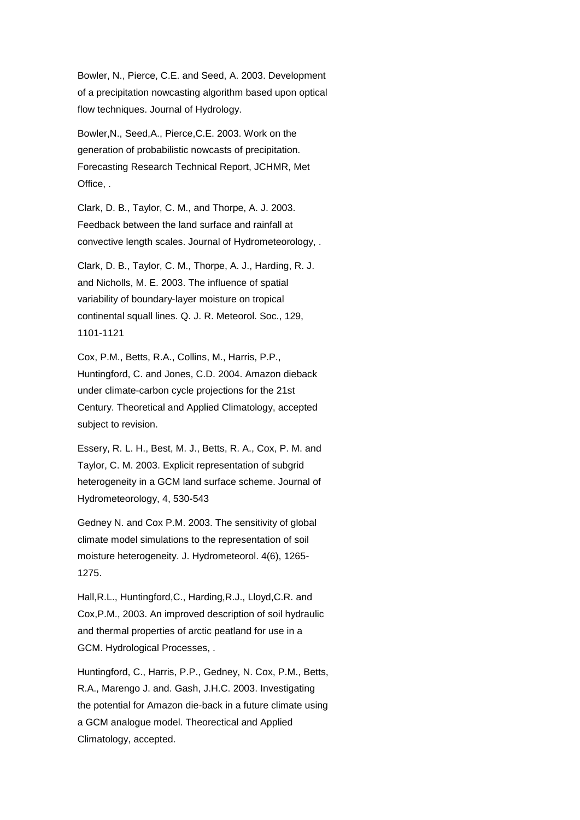Bowler, N., Pierce, C.E. and Seed, A. 2003. Development of a precipitation nowcasting algorithm based upon optical flow techniques. Journal of Hydrology.

Bowler,N., Seed,A., Pierce,C.E. 2003. Work on the generation of probabilistic nowcasts of precipitation. Forecasting Research Technical Report, JCHMR, Met Office, .

Clark, D. B., Taylor, C. M., and Thorpe, A. J. 2003. Feedback between the land surface and rainfall at convective length scales. Journal of Hydrometeorology, .

Clark, D. B., Taylor, C. M., Thorpe, A. J., Harding, R. J. and Nicholls, M. E. 2003. The influence of spatial variability of boundary-layer moisture on tropical continental squall lines. Q. J. R. Meteorol. Soc., 129, 1101-1121

Cox, P.M., Betts, R.A., Collins, M., Harris, P.P., Huntingford, C. and Jones, C.D. 2004. Amazon dieback under climate-carbon cycle projections for the 21st Century. Theoretical and Applied Climatology, accepted subject to revision.

Essery, R. L. H., Best, M. J., Betts, R. A., Cox, P. M. and Taylor, C. M. 2003. Explicit representation of subgrid heterogeneity in a GCM land surface scheme. Journal of Hydrometeorology, 4, 530-543

Gedney N. and Cox P.M. 2003. The sensitivity of global climate model simulations to the representation of soil moisture heterogeneity. J. Hydrometeorol. 4(6), 1265- 1275.

Hall,R.L., Huntingford,C., Harding,R.J., Lloyd,C.R. and Cox,P.M., 2003. An improved description of soil hydraulic and thermal properties of arctic peatland for use in a GCM. Hydrological Processes, .

Huntingford, C., Harris, P.P., Gedney, N. Cox, P.M., Betts, R.A., Marengo J. and. Gash, J.H.C. 2003. Investigating the potential for Amazon die-back in a future climate using a GCM analogue model. Theorectical and Applied Climatology, accepted.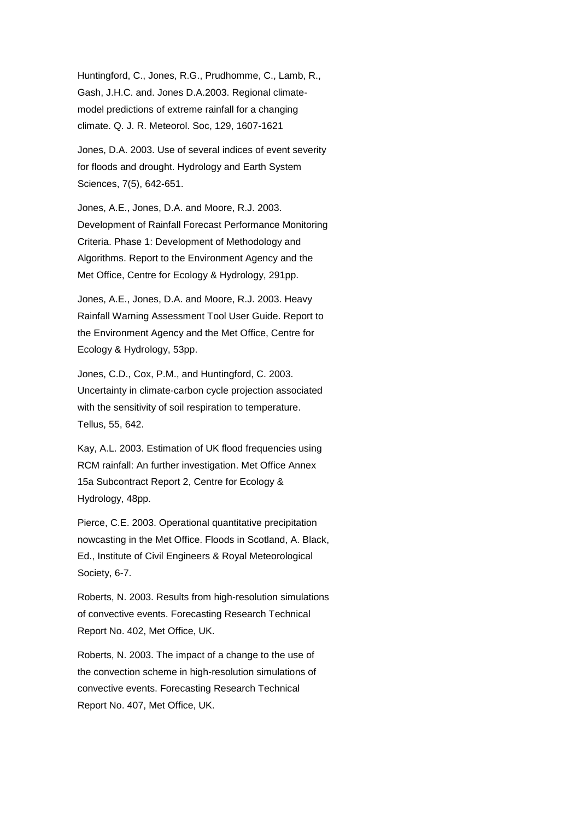Huntingford, C., Jones, R.G., Prudhomme, C., Lamb, R., Gash, J.H.C. and. Jones D.A.2003. Regional climatemodel predictions of extreme rainfall for a changing climate. Q. J. R. Meteorol. Soc, 129, 1607-1621

Jones, D.A. 2003. Use of several indices of event severity for floods and drought. Hydrology and Earth System Sciences, 7(5), 642-651.

Jones, A.E., Jones, D.A. and Moore, R.J. 2003. Development of Rainfall Forecast Performance Monitoring Criteria. Phase 1: Development of Methodology and Algorithms. Report to the Environment Agency and the Met Office, Centre for Ecology & Hydrology, 291pp.

Jones, A.E., Jones, D.A. and Moore, R.J. 2003. Heavy Rainfall Warning Assessment Tool User Guide. Report to the Environment Agency and the Met Office, Centre for Ecology & Hydrology, 53pp.

Jones, C.D., Cox, P.M., and Huntingford, C. 2003. Uncertainty in climate-carbon cycle projection associated with the sensitivity of soil respiration to temperature. Tellus, 55, 642.

Kay, A.L. 2003. Estimation of UK flood frequencies using RCM rainfall: An further investigation. Met Office Annex 15a Subcontract Report 2, Centre for Ecology & Hydrology, 48pp.

Pierce, C.E. 2003. Operational quantitative precipitation nowcasting in the Met Office. Floods in Scotland, A. Black, Ed., Institute of Civil Engineers & Royal Meteorological Society, 6-7.

Roberts, N. 2003. Results from high-resolution simulations of convective events. Forecasting Research Technical Report No. 402, Met Office, UK.

Roberts, N. 2003. The impact of a change to the use of the convection scheme in high-resolution simulations of convective events. Forecasting Research Technical Report No. 407, Met Office, UK.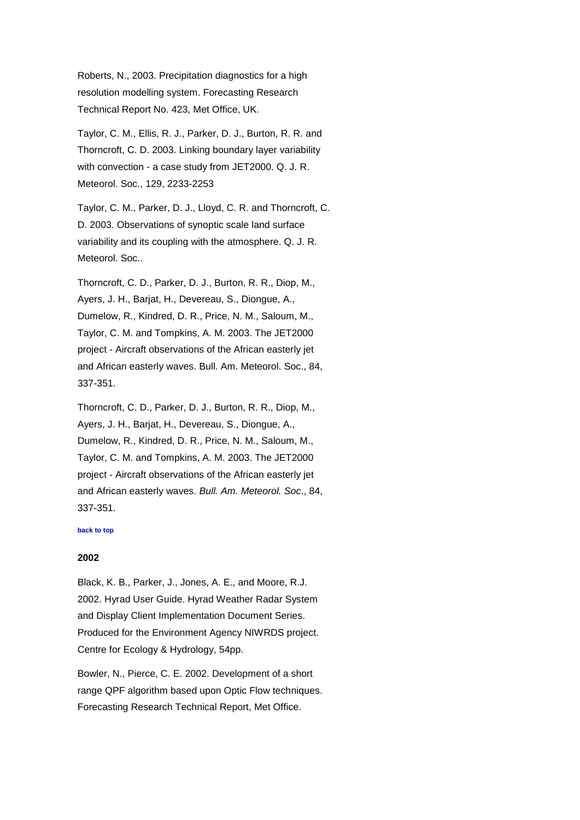Roberts, N., 2003. Precipitation diagnostics for a high resolution modelling system. Forecasting Research Technical Report No. 423, Met Office, UK.

Taylor, C. M., Ellis, R. J., Parker, D. J., Burton, R. R. and Thorncroft, C. D. 2003. Linking boundary layer variability with convection - a case study from JET2000. Q. J. R. Meteorol. Soc., 129, 2233-2253

Taylor, C. M., Parker, D. J., Lloyd, C. R. and Thorncroft, C. D. 2003. Observations of synoptic scale land surface variability and its coupling with the atmosphere. Q. J. R. Meteorol. Soc..

Thorncroft, C. D., Parker, D. J., Burton, R. R., Diop, M., Ayers, J. H., Barjat, H., Devereau, S., Diongue, A., Dumelow, R., Kindred, D. R., Price, N. M., Saloum, M., Taylor, C. M. and Tompkins, A. M. 2003. The JET2000 project - Aircraft observations of the African easterly jet and African easterly waves. Bull. Am. Meteorol. Soc., 84, 337-351.

Thorncroft, C. D., Parker, D. J., Burton, R. R., Diop, M., Ayers, J. H., Barjat, H., Devereau, S., Diongue, A., Dumelow, R., Kindred, D. R., Price, N. M., Saloum, M., Taylor, C. M. and Tompkins, A. M. 2003. The JET2000 project - Aircraft observations of the African easterly jet and African easterly waves. *Bull. Am. Meteorol. Soc*., 84, 337-351.

#### <span id="page-21-0"></span>**[back to top](#page-0-1)**

### **2002**

Black, K. B., Parker, J., Jones, A. E., and Moore, R.J. 2002. Hyrad User Guide. Hyrad Weather Radar System and Display Client Implementation Document Series. Produced for the Environment Agency NIWRDS project. Centre for Ecology & Hydrology, 54pp.

Bowler, N., Pierce, C. E. 2002. Development of a short range QPF algorithm based upon Optic Flow techniques. Forecasting Research Technical Report, Met Office.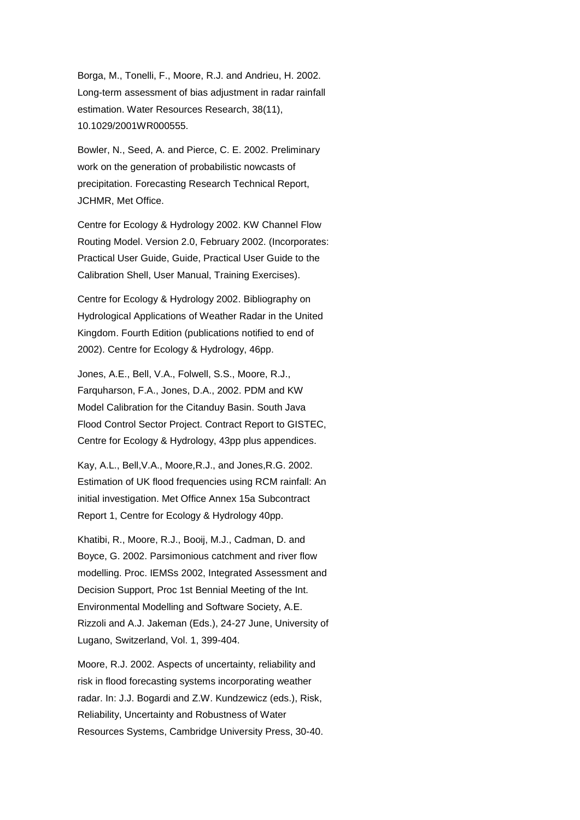Borga, M., Tonelli, F., Moore, R.J. and Andrieu, H. 2002. Long-term assessment of bias adjustment in radar rainfall estimation. Water Resources Research, 38(11), 10.1029/2001WR000555.

Bowler, N., Seed, A. and Pierce, C. E. 2002. Preliminary work on the generation of probabilistic nowcasts of precipitation. Forecasting Research Technical Report, JCHMR, Met Office.

Centre for Ecology & Hydrology 2002. KW Channel Flow Routing Model. Version 2.0, February 2002. (Incorporates: Practical User Guide, Guide, Practical User Guide to the Calibration Shell, User Manual, Training Exercises).

Centre for Ecology & Hydrology 2002. Bibliography on Hydrological Applications of Weather Radar in the United Kingdom. Fourth Edition (publications notified to end of 2002). Centre for Ecology & Hydrology, 46pp.

Jones, A.E., Bell, V.A., Folwell, S.S., Moore, R.J., Farquharson, F.A., Jones, D.A., 2002. PDM and KW Model Calibration for the Citanduy Basin. South Java Flood Control Sector Project. Contract Report to GISTEC, Centre for Ecology & Hydrology, 43pp plus appendices.

Kay, A.L., Bell,V.A., Moore,R.J., and Jones,R.G. 2002. Estimation of UK flood frequencies using RCM rainfall: An initial investigation. Met Office Annex 15a Subcontract Report 1, Centre for Ecology & Hydrology 40pp.

Khatibi, R., Moore, R.J., Booij, M.J., Cadman, D. and Boyce, G. 2002. Parsimonious catchment and river flow modelling. Proc. IEMSs 2002, Integrated Assessment and Decision Support, Proc 1st Bennial Meeting of the Int. Environmental Modelling and Software Society, A.E. Rizzoli and A.J. Jakeman (Eds.), 24-27 June, University of Lugano, Switzerland, Vol. 1, 399-404.

Moore, R.J. 2002. Aspects of uncertainty, reliability and risk in flood forecasting systems incorporating weather radar. In: J.J. Bogardi and Z.W. Kundzewicz (eds.), Risk, Reliability, Uncertainty and Robustness of Water Resources Systems, Cambridge University Press, 30-40.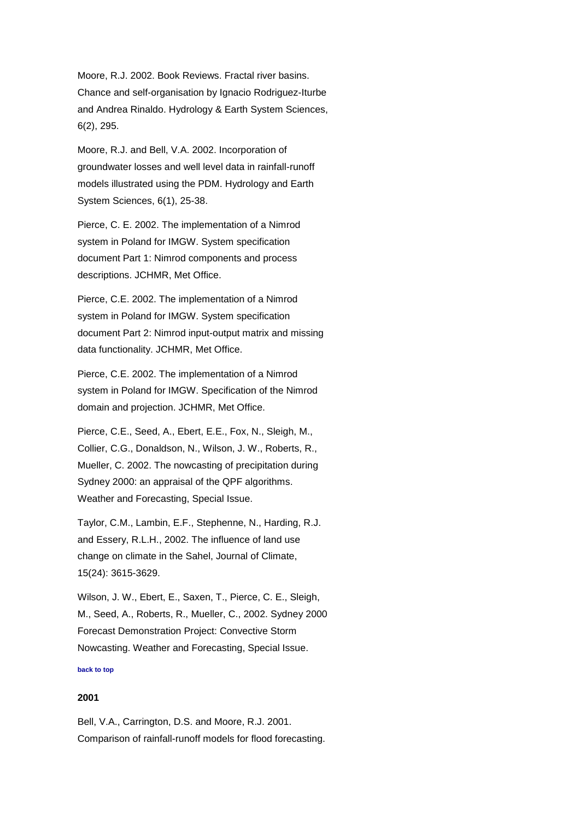Moore, R.J. 2002. Book Reviews. Fractal river basins. Chance and self-organisation by Ignacio Rodriguez-Iturbe and Andrea Rinaldo. Hydrology & Earth System Sciences, 6(2), 295.

Moore, R.J. and Bell, V.A. 2002. Incorporation of groundwater losses and well level data in rainfall-runoff models illustrated using the PDM. Hydrology and Earth System Sciences, 6(1), 25-38.

Pierce, C. E. 2002. The implementation of a Nimrod system in Poland for IMGW. System specification document Part 1: Nimrod components and process descriptions. JCHMR, Met Office.

Pierce, C.E. 2002. The implementation of a Nimrod system in Poland for IMGW. System specification document Part 2: Nimrod input-output matrix and missing data functionality. JCHMR, Met Office.

Pierce, C.E. 2002. The implementation of a Nimrod system in Poland for IMGW. Specification of the Nimrod domain and projection. JCHMR, Met Office.

Pierce, C.E., Seed, A., Ebert, E.E., Fox, N., Sleigh, M., Collier, C.G., Donaldson, N., Wilson, J. W., Roberts, R., Mueller, C. 2002. The nowcasting of precipitation during Sydney 2000: an appraisal of the QPF algorithms. Weather and Forecasting, Special Issue.

Taylor, C.M., Lambin, E.F., Stephenne, N., Harding, R.J. and Essery, R.L.H., 2002. The influence of land use change on climate in the Sahel, Journal of Climate, 15(24): 3615-3629.

Wilson, J. W., Ebert, E., Saxen, T., Pierce, C. E., Sleigh, M., Seed, A., Roberts, R., Mueller, C., 2002. Sydney 2000 Forecast Demonstration Project: Convective Storm Nowcasting. Weather and Forecasting, Special Issue.

#### <span id="page-23-0"></span>**[back to top](#page-0-1)**

# **2001**

Bell, V.A., Carrington, D.S. and Moore, R.J. 2001. Comparison of rainfall-runoff models for flood forecasting.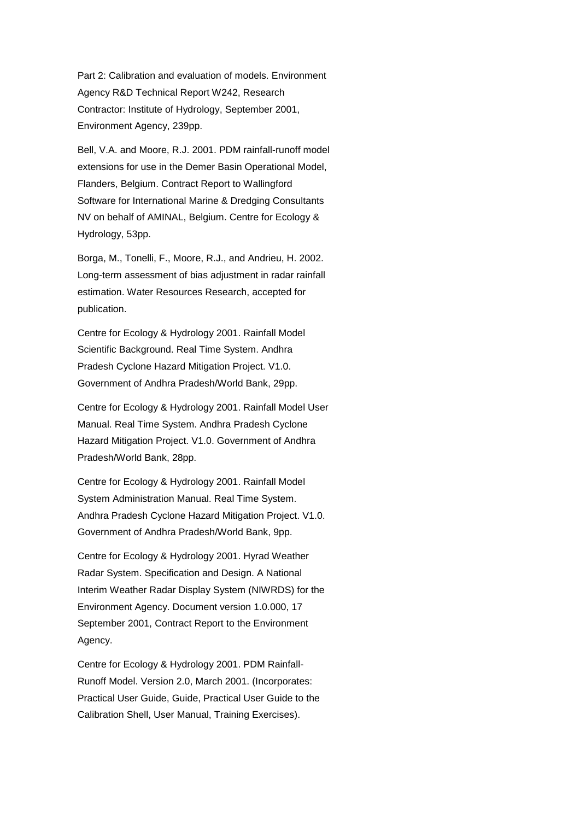Part 2: Calibration and evaluation of models. Environment Agency R&D Technical Report W242, Research Contractor: Institute of Hydrology, September 2001, Environment Agency, 239pp.

Bell, V.A. and Moore, R.J. 2001. PDM rainfall-runoff model extensions for use in the Demer Basin Operational Model, Flanders, Belgium. Contract Report to Wallingford Software for International Marine & Dredging Consultants NV on behalf of AMINAL, Belgium. Centre for Ecology & Hydrology, 53pp.

Borga, M., Tonelli, F., Moore, R.J., and Andrieu, H. 2002. Long-term assessment of bias adjustment in radar rainfall estimation. Water Resources Research, accepted for publication.

Centre for Ecology & Hydrology 2001. Rainfall Model Scientific Background. Real Time System. Andhra Pradesh Cyclone Hazard Mitigation Project. V1.0. Government of Andhra Pradesh/World Bank, 29pp.

Centre for Ecology & Hydrology 2001. Rainfall Model User Manual. Real Time System. Andhra Pradesh Cyclone Hazard Mitigation Project. V1.0. Government of Andhra Pradesh/World Bank, 28pp.

Centre for Ecology & Hydrology 2001. Rainfall Model System Administration Manual. Real Time System. Andhra Pradesh Cyclone Hazard Mitigation Project. V1.0. Government of Andhra Pradesh/World Bank, 9pp.

Centre for Ecology & Hydrology 2001. Hyrad Weather Radar System. Specification and Design. A National Interim Weather Radar Display System (NIWRDS) for the Environment Agency. Document version 1.0.000, 17 September 2001, Contract Report to the Environment Agency.

Centre for Ecology & Hydrology 2001. PDM Rainfall-Runoff Model. Version 2.0, March 2001. (Incorporates: Practical User Guide, Guide, Practical User Guide to the Calibration Shell, User Manual, Training Exercises).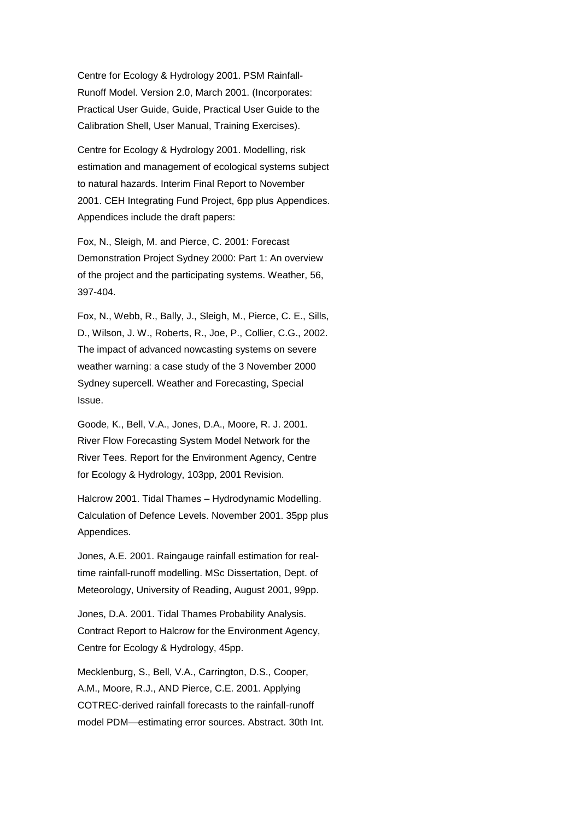Centre for Ecology & Hydrology 2001. PSM Rainfall-Runoff Model. Version 2.0, March 2001. (Incorporates: Practical User Guide, Guide, Practical User Guide to the Calibration Shell, User Manual, Training Exercises).

Centre for Ecology & Hydrology 2001. Modelling, risk estimation and management of ecological systems subject to natural hazards. Interim Final Report to November 2001. CEH Integrating Fund Project, 6pp plus Appendices. Appendices include the draft papers:

Fox, N., Sleigh, M. and Pierce, C. 2001: Forecast Demonstration Project Sydney 2000: Part 1: An overview of the project and the participating systems. Weather, 56, 397-404.

Fox, N., Webb, R., Bally, J., Sleigh, M., Pierce, C. E., Sills, D., Wilson, J. W., Roberts, R., Joe, P., Collier, C.G., 2002. The impact of advanced nowcasting systems on severe weather warning: a case study of the 3 November 2000 Sydney supercell. Weather and Forecasting, Special Issue.

Goode, K., Bell, V.A., Jones, D.A., Moore, R. J. 2001. River Flow Forecasting System Model Network for the River Tees. Report for the Environment Agency, Centre for Ecology & Hydrology, 103pp, 2001 Revision.

Halcrow 2001. Tidal Thames – Hydrodynamic Modelling. Calculation of Defence Levels. November 2001. 35pp plus Appendices.

Jones, A.E. 2001. Raingauge rainfall estimation for realtime rainfall-runoff modelling. MSc Dissertation, Dept. of Meteorology, University of Reading, August 2001, 99pp.

Jones, D.A. 2001. Tidal Thames Probability Analysis. Contract Report to Halcrow for the Environment Agency, Centre for Ecology & Hydrology, 45pp.

Mecklenburg, S., Bell, V.A., Carrington, D.S., Cooper, A.M., Moore, R.J., AND Pierce, C.E. 2001. Applying COTREC-derived rainfall forecasts to the rainfall-runoff model PDM—estimating error sources. Abstract. 30th Int.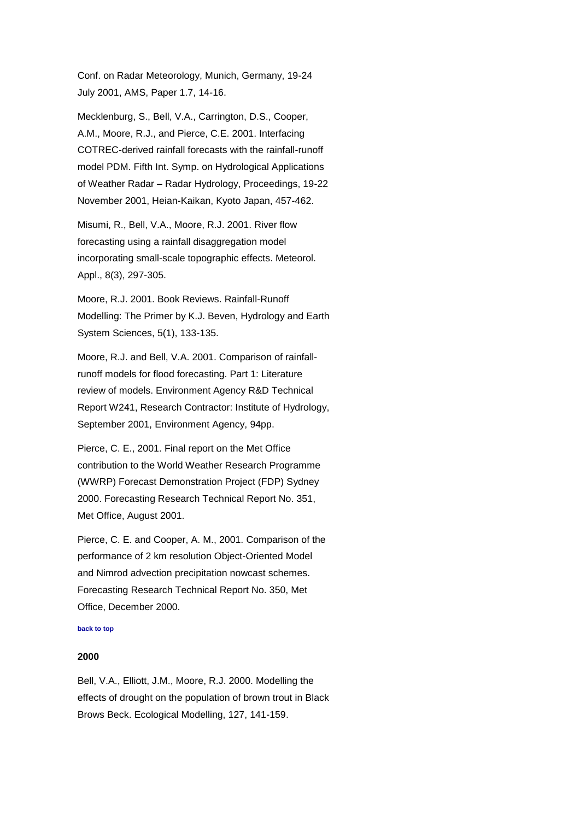Conf. on Radar Meteorology, Munich, Germany, 19-24 July 2001, AMS, Paper 1.7, 14-16.

Mecklenburg, S., Bell, V.A., Carrington, D.S., Cooper, A.M., Moore, R.J., and Pierce, C.E. 2001. Interfacing COTREC-derived rainfall forecasts with the rainfall-runoff model PDM. Fifth Int. Symp. on Hydrological Applications of Weather Radar – Radar Hydrology, Proceedings, 19-22 November 2001, Heian-Kaikan, Kyoto Japan, 457-462.

Misumi, R., Bell, V.A., Moore, R.J. 2001. River flow forecasting using a rainfall disaggregation model incorporating small-scale topographic effects. Meteorol. Appl., 8(3), 297-305.

Moore, R.J. 2001. Book Reviews. Rainfall-Runoff Modelling: The Primer by K.J. Beven, Hydrology and Earth System Sciences, 5(1), 133-135.

Moore, R.J. and Bell, V.A. 2001. Comparison of rainfallrunoff models for flood forecasting. Part 1: Literature review of models. Environment Agency R&D Technical Report W241, Research Contractor: Institute of Hydrology, September 2001, Environment Agency, 94pp.

Pierce, C. E., 2001. Final report on the Met Office contribution to the World Weather Research Programme (WWRP) Forecast Demonstration Project (FDP) Sydney 2000. Forecasting Research Technical Report No. 351, Met Office, August 2001.

Pierce, C. E. and Cooper, A. M., 2001. Comparison of the performance of 2 km resolution Object-Oriented Model and Nimrod advection precipitation nowcast schemes. Forecasting Research Technical Report No. 350, Met Office, December 2000.

#### <span id="page-26-0"></span>**[back to top](#page-0-1)**

## **2000**

Bell, V.A., Elliott, J.M., Moore, R.J. 2000. Modelling the effects of drought on the population of brown trout in Black Brows Beck. Ecological Modelling, 127, 141-159.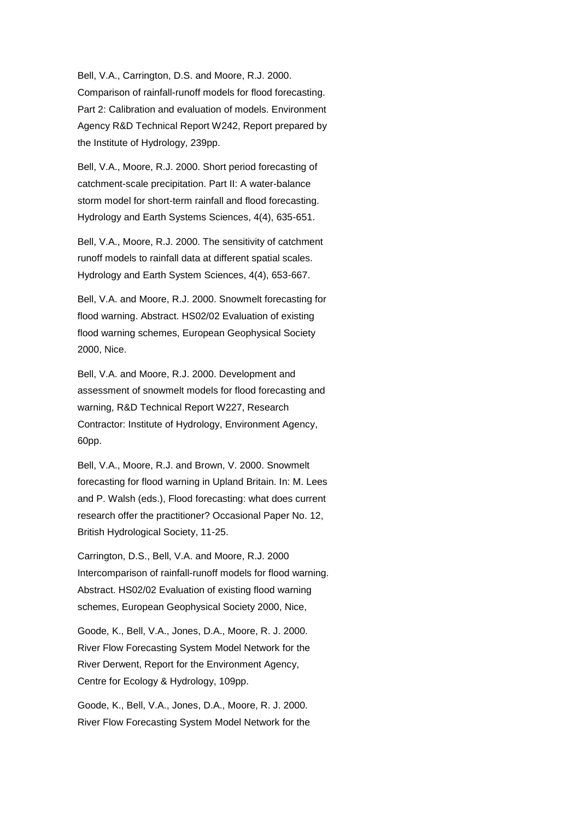Bell, V.A., Carrington, D.S. and Moore, R.J. 2000. Comparison of rainfall-runoff models for flood forecasting. Part 2: Calibration and evaluation of models. Environment Agency R&D Technical Report W242, Report prepared by the Institute of Hydrology, 239pp.

Bell, V.A., Moore, R.J. 2000. Short period forecasting of catchment-scale precipitation. Part II: A water-balance storm model for short-term rainfall and flood forecasting. Hydrology and Earth Systems Sciences, 4(4), 635-651.

Bell, V.A., Moore, R.J. 2000. The sensitivity of catchment runoff models to rainfall data at different spatial scales. Hydrology and Earth System Sciences, 4(4), 653-667.

Bell, V.A. and Moore, R.J. 2000. Snowmelt forecasting for flood warning. Abstract. HS02/02 Evaluation of existing flood warning schemes, European Geophysical Society 2000, Nice.

Bell, V.A. and Moore, R.J. 2000. Development and assessment of snowmelt models for flood forecasting and warning, R&D Technical Report W227, Research Contractor: Institute of Hydrology, Environment Agency, 60pp.

Bell, V.A., Moore, R.J. and Brown, V. 2000. Snowmelt forecasting for flood warning in Upland Britain. In: M. Lees and P. Walsh (eds.), Flood forecasting: what does current research offer the practitioner? Occasional Paper No. 12, British Hydrological Society, 11-25.

Carrington, D.S., Bell, V.A. and Moore, R.J. 2000 Intercomparison of rainfall-runoff models for flood warning. Abstract. HS02/02 Evaluation of existing flood warning schemes, European Geophysical Society 2000, Nice,

Goode, K., Bell, V.A., Jones, D.A., Moore, R. J. 2000. River Flow Forecasting System Model Network for the River Derwent, Report for the Environment Agency, Centre for Ecology & Hydrology, 109pp.

Goode, K., Bell, V.A., Jones, D.A., Moore, R. J. 2000. River Flow Forecasting System Model Network for the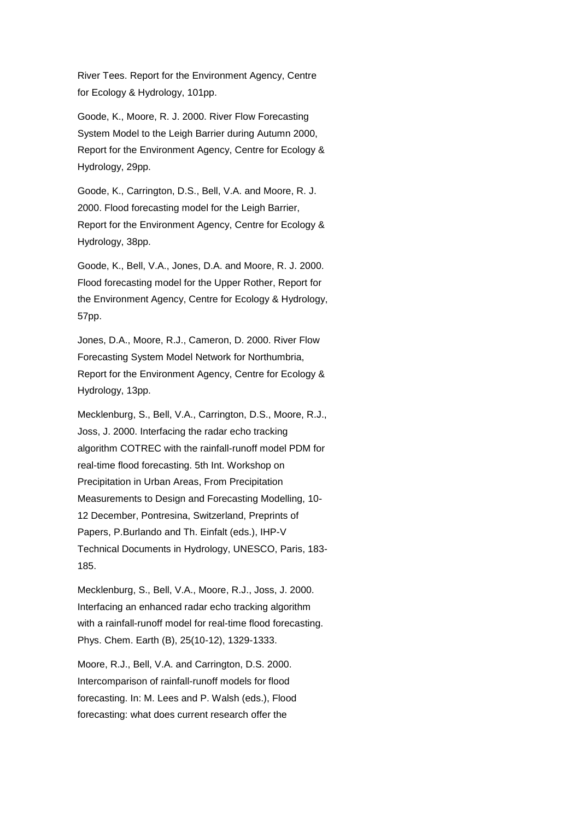River Tees. Report for the Environment Agency, Centre for Ecology & Hydrology, 101pp.

Goode, K., Moore, R. J. 2000. River Flow Forecasting System Model to the Leigh Barrier during Autumn 2000, Report for the Environment Agency, Centre for Ecology & Hydrology, 29pp.

Goode, K., Carrington, D.S., Bell, V.A. and Moore, R. J. 2000. Flood forecasting model for the Leigh Barrier, Report for the Environment Agency, Centre for Ecology & Hydrology, 38pp.

Goode, K., Bell, V.A., Jones, D.A. and Moore, R. J. 2000. Flood forecasting model for the Upper Rother, Report for the Environment Agency, Centre for Ecology & Hydrology, 57pp.

Jones, D.A., Moore, R.J., Cameron, D. 2000. River Flow Forecasting System Model Network for Northumbria, Report for the Environment Agency, Centre for Ecology & Hydrology, 13pp.

Mecklenburg, S., Bell, V.A., Carrington, D.S., Moore, R.J., Joss, J. 2000. Interfacing the radar echo tracking algorithm COTREC with the rainfall-runoff model PDM for real-time flood forecasting. 5th Int. Workshop on Precipitation in Urban Areas, From Precipitation Measurements to Design and Forecasting Modelling, 10- 12 December, Pontresina, Switzerland, Preprints of Papers, P.Burlando and Th. Einfalt (eds.), IHP-V Technical Documents in Hydrology, UNESCO, Paris, 183- 185.

Mecklenburg, S., Bell, V.A., Moore, R.J., Joss, J. 2000. Interfacing an enhanced radar echo tracking algorithm with a rainfall-runoff model for real-time flood forecasting. Phys. Chem. Earth (B), 25(10-12), 1329-1333.

Moore, R.J., Bell, V.A. and Carrington, D.S. 2000. Intercomparison of rainfall-runoff models for flood forecasting. In: M. Lees and P. Walsh (eds.), Flood forecasting: what does current research offer the